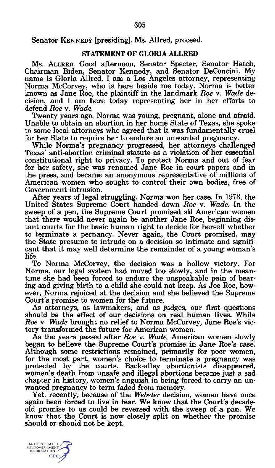## Senator KENNEDY [presiding]. Ms. Allred, proceed.

## STATEMENT OF GLORIA ALLRED

Ms. ALLRED. Good afternoon, Senator Specter, Senator Hatch, Chairman Biden, Senator Kennedy, and Senator DeConcini. My name is Gloria Allred. I am a Los Angeles attorney, representing Norma McCorvey, who is here beside me today. Norma is better known as Jane Roe, the plaintiff in the landmark *Roe* v. *Wade* decision, and I am here today representing her in her efforts to defend *Roe* v. *Wade.*

Twenty years ago, Norma was young, pregnant, alone and afraid. Unable to obtain an abortion in her home State of Texas, she spoke to some local attorneys who agreed that it was fundamentally cruel for her State to require her to endure an unwanted pregnancy.

While Norma's pregnancy progressed, her attorneys challenged Texas' anti-abortion criminal statute as a violation of her essential constitutional right to privacy. To protect Norma and out of fear for her safety, she was renamed Jane Roe in court papers and in the press, and became an anonymous representative of millions of American women who sought to control their own bodies, free of Government intrusion.

After years of legal struggling, Norma won her case. In 1973, the United States Supreme Court handed down *Roe* v. *Wade.* In the sweep of a pen, the Supreme Court promised all American women that there would never again be another Jane Roe, beginning distant courts for the basic human right to decide for herself whether to terminate a pernancy. Never again, the Court promised, may the State presume to intrude on a decision so intimate and significant that it may well determine the remainder of a young woman's life.

To Norma McCorvey, the decision was a hollow victory. For Norma, our legal system had moved too slowly, and in the meantime she had been forced to endure the unspeakable pain of bearing and giving birth to a child she could not keep. As Joe Roe, however, Norma rejoiced at the decision and she believed the Supreme Court's promise to women for the future.

As attorneys, as lawmakers, and as judges, our first questions should be the effect of our decisions on real human lives. While *Roe* v. *Wade* brought no relief to Norma McCorvey, Jane Roe's victory transformed the future for American women.

As the years passed after *Roe* v. *Wade,* American women slowly began to believe the Supreme Court's promise in Jane Roe's case. Although some restrictions remained, primarily for poor women, for the most part, women's choice to terminate a pregnancy was protected by the courts. Back-alley abortionists disappeared, women's death from unsafe and illegal abortions became just a sad chapter in history, women's anguish in being forced to carry an unwanted pregnancy to term faded from memory.

Yet, recently, because of the *Webster* decision, women have once again been forced to live in fear. We know that the Court's decadeold promise to us could be reversed with the sweep of a pan. We know that the Court is now closely split on whether the promise should or should not be kept.

**AUTHENTICATED** S. GOVERNMEN<br>INFORMATION GPO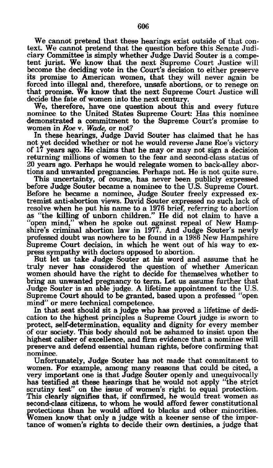We cannot pretend that these hearings exist outside of that context. We cannot pretend that the question before this Senate Judiciary Committee is simply whether Judge David Souter is a competent jurist. We know that the next Supreme Court Justice will become the deciding vote in the Court's decision to either preserve its promise to American women, that they will never again be forced into illegal and, therefore, unsafe abortions, or to renege on that promise. We know that the next Supreme Court Justice will decide the fate of women into the next century.

We, therefore, have one question about this and every future nominee to the United States Supreme Court: Has this nominee demonstrated a commitment to the Supreme Court's promise to women in *Roe* v. *Wade,* or not?

In these hearings, Judge David Souter has claimed that he has not yet decided whether or not he would reverse Jane Roe's victory of 17 years ago. He claims that he may or may not sign a decision returning millions of women to the fear and second-class status of 20 years ago. Perhaps he would relegate women to back-alley abortions and unwanted pregnancies. Perhaps not. He is not quite sure.

This uncertainty, of course, has never been publicly expressed before Judge Souter became a nominee to the U.S. Supreme Court. Before he became a nominee, Judge Souter freely expressed extremist anti-abortion views. David Souter expressed no such lack of resolve when he put his name to a 1976 brief, referring to abortion as "the killing of unborn children." He did not claim to have a "open mind," when he spoke out against repeal of New Hampshire's criminal abortion law in 1977. And Judge Souter's newly professed doubt was nowhere to be found in a 1986 New Hampshire Supreme Court decision, in which he went out of his way to express sympathy with doctors opposed to abortion.

But let us take Judge Souter at his word and assume that he truly never has considered the question of whether American women should have the right to decide for themselves whether to bring an unwanted pregnancy to term. Let us assume further that Judge Souter is an able judge. A lifetime appointment to the U.S. Supreme Court should to be granted, based upon a professed "open mind" or mere technical competence.

In that seat should sit a judge who has proved a lifetime of dedication to the highest principles a Supreme Court judge is sworn to protect, self-determination, equality and dignity for every member of our society. This body should not be ashamed to insist upon the highest caliber of excellence, and firm evidence that a nominee will preserve and defend essential human rights, before confirming that nominee.

Unfortunately, Judge Souter has not made that commitment to women. For example, among many reasons that could be cited, a very important one is that Judge Souter openly and unequivocally has testified at these hearings that he would not apply "the strict scrutiny test" on the issue of women's right to equal protection. This clearly signifies that, if confirmed, he would treat women as second-class citizens, to whom he would afford fewer constitutional protections than he would afford to blacks and other minorities. Women know that only a judge with a keener sense of the importance of women's rights to decide their own destinies, a judge that